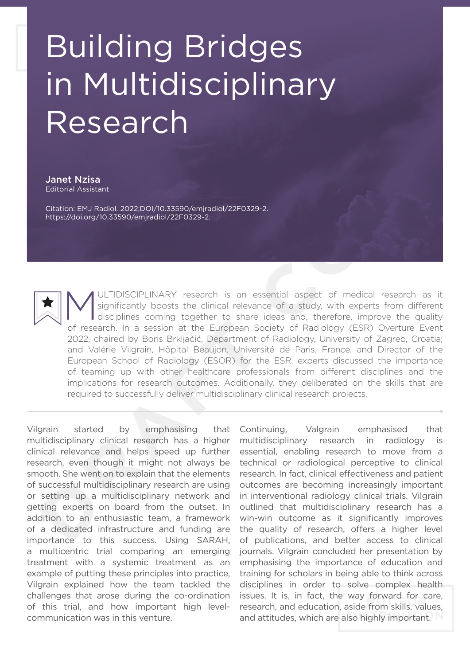## Building Bridges in Multidisciplinary Research

Janet Nzisa Editorial Assistant

Citation: EMJ Radiol. 2022;DOI/10.33590/emjradiol/22F0329-2. https://doi.org/10.33590/emjradiol/22F0329-2.

MULTIDISCIPLINARY research is an essential aspect of medical research as it significantly boosts the clinical relevance of a study, with experts from different disciplines coming together to share ideas and, therefore, imp significantly boosts the clinical relevance of a study, with experts from different of research. In a session at the European Society of Radiology (ESR) Overture Event 2022, chaired by Boris Brkljačić, Department of Radiology, University of Zagreb, Croatia; and Valérie Vilgrain, Hôpital Beaujon, Université de Paris, France, and Director of the European School of Radiology (ESOR) for the ESR, experts discussed the importance of teaming up with other healthcare professionals from different disciplines and the implications for research outcomes. Additionally, they deliberated on the skills that are required to successfully deliver multidisciplinary clinical research projects.

Vilgrain started by emphasising that multidisciplinary clinical research has a higher clinical relevance and helps speed up further research, even though it might not always be smooth. She went on to explain that the elements of successful multidisciplinary research are using or setting up a multidisciplinary network and getting experts on board from the outset. In addition to an enthusiastic team, a framework of a dedicated infrastructure and funding are importance to this success. Using SARAH, a multicentric trial comparing an emerging treatment with a systemic treatment as an example of putting these principles into practice, Vilgrain explained how the team tackled the challenges that arose during the co-ordination of this trial, and how important high levelcommunication was in this venture.

Continuing, Valgrain emphasised that multidisciplinary research in radiology is essential, enabling research to move from a technical or radiological perceptive to clinical research. In fact, clinical effectiveness and patient outcomes are becoming increasingly important in interventional radiology clinical trials. Vilgrain outlined that multidisciplinary research has a win-win outcome as it significantly improves the quality of research, offers a higher level of publications, and better access to clinical journals. Vilgrain concluded her presentation by emphasising the importance of education and training for scholars in being able to think across disciplines in order to solve complex health issues. It is, in fact, the way forward for care, research, and education, aside from skills, values, and attitudes, which are also highly important.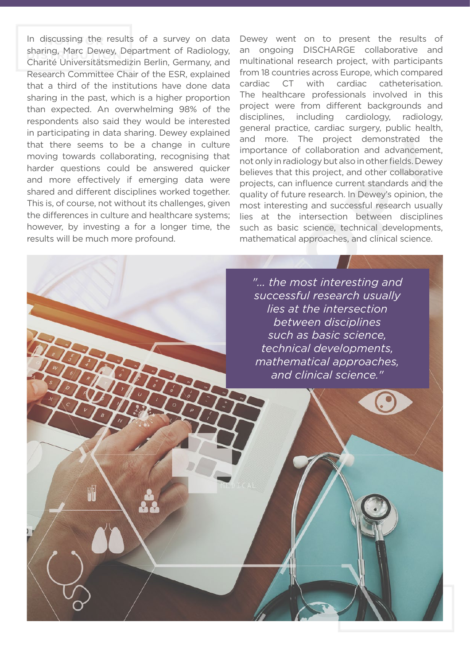In discussing the results of a survey on data sharing, Marc Dewey, Department of Radiology, Charité Universitätsmedizin Berlin, Germany, and Research Committee Chair of the ESR, explained that a third of the institutions have done data sharing in the past, which is a higher proportion than expected. An overwhelming 98% of the respondents also said they would be interested in participating in data sharing. Dewey explained that there seems to be a change in culture moving towards collaborating, recognising that harder questions could be answered quicker and more effectively if emerging data were shared and different disciplines worked together. This is, of course, not without its challenges, given the differences in culture and healthcare systems; however, by investing a for a longer time, the results will be much more profound.

Dewey went on to present the results of an ongoing DISCHARGE collaborative and multinational research project, with participants from 18 countries across Europe, which compared cardiac CT with cardiac catheterisation. The healthcare professionals involved in this project were from different backgrounds and disciplines, including cardiology, radiology, general practice, cardiac surgery, public health, and more. The project demonstrated the importance of collaboration and advancement, not only in radiology but also in other fields. Dewey believes that this project, and other collaborative projects, can influence current standards and the quality of future research. In Dewey's opinion, the most interesting and successful research usually lies at the intersection between disciplines such as basic science, technical developments, mathematical approaches, and clinical science.

*"... the most interesting and successful research usually lies at the intersection between disciplines such as basic science, technical developments, mathematical approaches, and clinical science."*